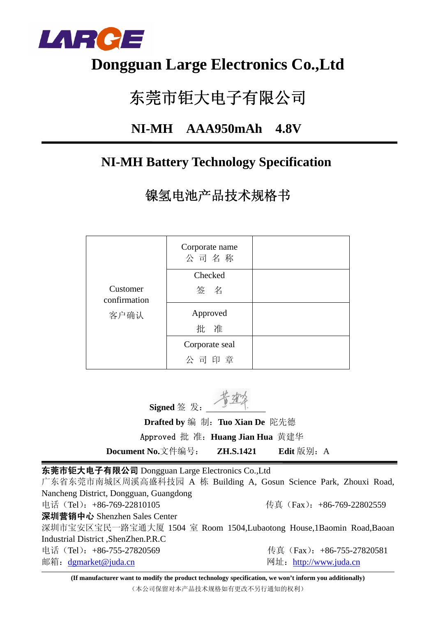

## **Dongguan Large Electronics Co.,Ltd**

# 东莞市钜大电子有限公司

### **NI-MH AAA950mAh 4.8V**

### **NI-MH Battery Technology Specification**

镍氢电池产品技术规格书

|                          | Corporate name<br>公司名称 |  |
|--------------------------|------------------------|--|
|                          | Checked                |  |
| Customer<br>confirmation | 签名                     |  |
| 客户确认                     | Approved               |  |
|                          | 批 准                    |  |
|                          | Corporate seal         |  |
|                          | 公司印章                   |  |

**Signed** 签 发:

 **Drafted by** 编 制:**Tuo Xian De** 陀先德 Approved 批 准:**Huang Jian Hua** 黄建华

**Document No.**文件编号: **ZH.S.1421** Edit 版别: A

东莞市钜大电子有限公司 Dongguan Large Electronics Co.,Ltd

广东省东莞市南城区周溪高盛科技园 A 栋 Building A, Gosun Science Park, Zhouxi Road, Nancheng District, Dongguan, Guangdong 电话(Tel):+86-769-22810105 传真(Fax):+86-769-22802559 深圳营销中心 Shenzhen Sales Center 深圳市宝安区宝民一路宝通大厦 1504 室 Room 1504,Lubaotong House,1Baomin Road,Baoan Industrial District ,ShenZhen.P.R.C 电话(Tel): +86-755-27820569 传真(Fax): +86-755-27820581 邮箱:dgmarket@juda.cn 网址:http://www.juda.cn

**(If manufacturer want to modify the product technology specification, we won't inform you additionally)** (本公司保留对本产品技术规格如有更改不另行通知的权利)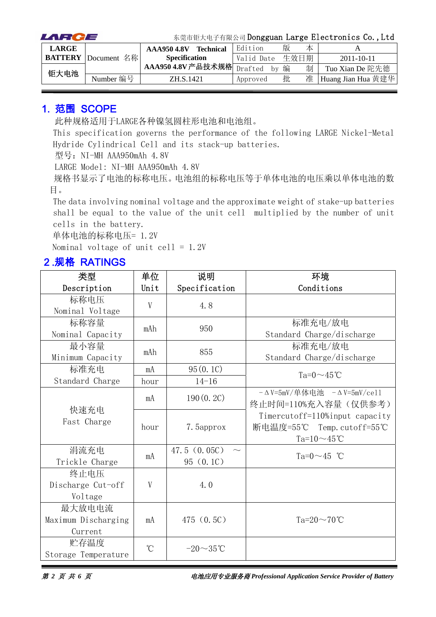| LARCE        |                            | 东莞市钜大电子有限公司 Dongguan Large Electronics Co., Ltd |                  |            |      |   |                    |
|--------------|----------------------------|-------------------------------------------------|------------------|------------|------|---|--------------------|
| <b>LARGE</b> |                            | <b>AAA950 4.8V</b>                              | <b>Technical</b> | Edition    | 版    | 本 |                    |
|              | <b>BATTERY</b> Document 名称 | <b>Specification</b>                            |                  | Valid Date | 生效日期 |   | $2011 - 10 - 11$   |
| 钜大电池         |                            | AAA950 4.8V产品技术规格Drafted                        |                  | hv         | 编    | 制 | Tuo Xian De 陀先德    |
|              | Number 编号                  | ZH.S.1421                                       |                  | Approved   | 批    | 准 | Huang Jian Hua 黄建华 |

#### 1. 范围 SCOPE

此种规格适用于LARGE各种镍氢圆柱形电池和电池组。

This specification governs the performance of the following LARGE Nickel-Metal Hydride Cylindrical Cell and its stack-up batteries.

型号: NI-MH AAA950mAh 4.8V

LARGE Model: NI-MH AAA950mAh 4.8V

规格书显示了电池的标称电压。电池组的标称电压等于单体电池的电压乘以单体电池的数 目。

The data involving nominal voltage and the approximate weight of stake-up batteries shall be equal to the value of the unit cell multiplied by the number of unit cells in the battery.

单体电池的标称电压= 1.2V

Nominal voltage of unit cell =  $1.2V$ 

#### 2.规格 RATINGS

| 类型                  | 单位              | 说明             | 环境                                        |
|---------------------|-----------------|----------------|-------------------------------------------|
| Description         | Unit            | Specification  | Conditions                                |
| 标称电压                | V               | 4.8            |                                           |
| Nominal Voltage     |                 |                |                                           |
| 标称容量                | mAh             | 950            | 标准充电/放电                                   |
| Nominal Capacity    |                 |                | Standard Charge/discharge                 |
| 最小容量                | mAh             | 855            | 标准充电/放电                                   |
| Minimum Capacity    |                 |                | Standard Charge/discharge                 |
| 标准充电                | mA              | 95(0.1C)       | $Ta=0 \sim 45^{\circ}$ C                  |
| Standard Charge     | hour            | $14 - 16$      |                                           |
|                     | mA              | 190(0.2C)      | $-\Delta$ V=5mV/单体电池 $-\Delta$ V=5mV/cell |
| 快速充电                |                 |                | 终止时间=110%充入容量(仅供参考)                       |
| Fast Charge         |                 |                | Timercutoff=110%input capacity            |
|                     | hour            | 7. 5approx     | 断电温度=55℃ Temp.cutoff=55℃                  |
|                     |                 |                | Ta= $10 \sim 45$ °C                       |
| 涓流充电                | mA              | 47.5(0.05C)    | Ta= $0 \sim 45$ °C                        |
| Trickle Charge      |                 | 95(0.10)       |                                           |
| 终止电压                |                 |                |                                           |
| Discharge Cut-off   | V               | 4.0            |                                           |
| Voltage             |                 |                |                                           |
| 最大放电电流              |                 |                |                                           |
| Maximum Discharging | mA              | 475(0.5C)      | Ta= $20 \sim 70$ °C                       |
| Current             |                 |                |                                           |
| 贮存温度                | $\rm ^{\circ}C$ | $-20\sim35$ °C |                                           |
| Storage Temperature |                 |                |                                           |

第 *2* 页 共 *6* 页电池应用专业服务商 *Professional Application Service Provider of Battery*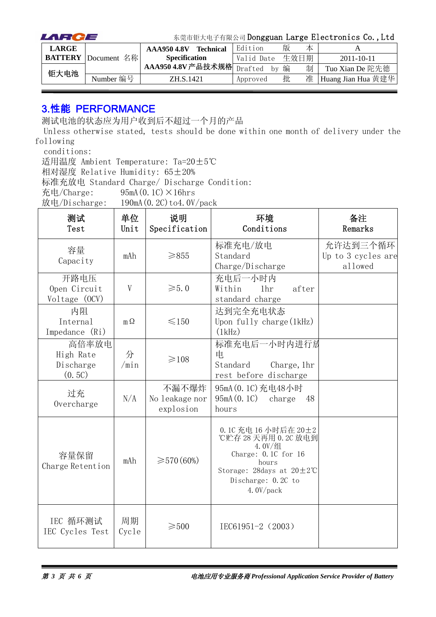| LARCE        |                            |                           |                  |            |      |   | 东莞市钜大电子有限公司 Dongguan Large Electronics Co., Ltd |
|--------------|----------------------------|---------------------------|------------------|------------|------|---|-------------------------------------------------|
| <b>LARGE</b> |                            | <b>AAA950 4.8V</b>        | <b>Technical</b> | Edition    | 版    | 本 |                                                 |
|              | <b>BATTERY</b> Document 名称 | <b>Specification</b>      |                  | Valid Date | 生效日期 |   | $2011 - 10 - 11$                                |
| 钜大电池         |                            | AAA950 4.8V产品技术规格 Drafted |                  | by         | 编    | 制 | Tuo Xian De 陀先德                                 |
|              | Number 编号                  | ZH.S.1421                 |                  | Approved   | 批    | 准 | Huang Jian Hua 黄建华                              |

#### 3.性能 PERFORMANCE

测试电池的状态应为用户收到后不超过一个月的产品

Unless otherwise stated, tests should be done within one month of delivery under the following

conditions:

适用温度 Ambient Temperature: Ta=20±5℃

相对湿度 Relative Humidity: 65±20%

标准充放电 Standard Charge/ Discharge Condition:

充电/Charge:  $95mA(0.1C) \times 16hrs$ 

放电/Discharge:  $190mA(0.2C)$  to 4.0V/pack

| 测试<br>Test                                | 单位<br>Unit  | 说明<br>Specification                  | 环境<br>Conditions                                                                                                                                                          | 备注<br>Remarks                             |
|-------------------------------------------|-------------|--------------------------------------|---------------------------------------------------------------------------------------------------------------------------------------------------------------------------|-------------------------------------------|
| 容量<br>Capacity                            | mAh         | $\geq 855$                           | 标准充电/放电<br>Standard<br>Charge/Discharge                                                                                                                                   | 允许达到三个循环<br>Up to 3 cycles are<br>allowed |
| 开路电压<br>Open Circuit<br>Voltage (OCV)     | V           | $\geqslant 5.0$                      | 充电后一小时内<br>Within<br>1 <sub>hr</sub><br>after<br>standard charge                                                                                                          |                                           |
| 内阻<br>Internal<br>Impedance (Ri)          | $m\Omega$   | $\leq 150$                           | 达到完全充电状态<br>Upon fully charge $(1kHz)$<br>(1kHz)                                                                                                                          |                                           |
| 高倍率放电<br>High Rate<br>Discharge<br>(0.5C) | 分<br>/min   | $\geq 108$                           | 标准充电后一小时内进行放<br>电<br>Standard<br>Charge, 1hr<br>rest before discharge                                                                                                     |                                           |
| 过充<br>Overcharge                          | N/A         | 不漏不爆炸<br>No leakage nor<br>explosion | 95mA (0.1C) 充电48小时<br>95mA(0.1C)<br>charge<br>48<br>hours                                                                                                                 |                                           |
| 容量保留<br>Charge Retention                  | mAh         | $\geq 570(60\%)$                     | 0.1C 充电 16 小时后在 20±2<br>℃贮存 28 天再用 0.2C 放电到<br>$4.0V/$ 组<br>Charge: 0.1C for 16<br>hours<br>Storage: 28days at $20 \pm 2^{\circ}$ C<br>Discharge: 0.2C to<br>4.0 $V/pack$ |                                           |
| IEC 循环测试<br>IEC Cycles Test               | 周期<br>Cycle | $\geqslant$ 500                      | IEC61951-2 (2003)                                                                                                                                                         |                                           |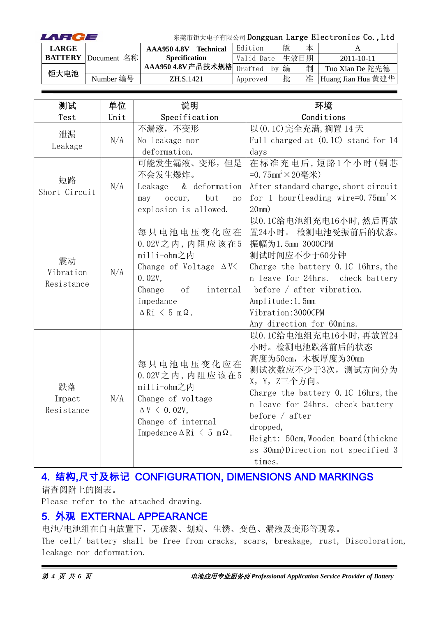| LARCE        |                            | 东莞市钜大电子有限公司 Dongguan Large Electronics Co., Ltd |                  |               |   |      |                    |
|--------------|----------------------------|-------------------------------------------------|------------------|---------------|---|------|--------------------|
| <b>LARGE</b> |                            | <b>AAA9504.8V</b>                               | <b>Technical</b> | Edition       | 版 | 本    |                    |
|              | <b>BATTERY</b> Document 名称 | <b>Specification</b>                            |                  | Valid Date    |   | 生效日期 | $2011 - 10 - 11$   |
| 钜大电池         |                            | AAA9504.8V产品技术规格                                |                  | Drafted<br>hv | 编 | 制    | Tuo Xian De 陀先德    |
|              | Number 编号                  | ZH.S.1421                                       |                  | Approved      | 批 | 准    | Huang Jian Hua 黄建华 |

| 测试                            | 单位   | 说明                                                                                                                                                                      | 环境                                                                                                                                                                                                                                                                                                  |
|-------------------------------|------|-------------------------------------------------------------------------------------------------------------------------------------------------------------------------|-----------------------------------------------------------------------------------------------------------------------------------------------------------------------------------------------------------------------------------------------------------------------------------------------------|
| Test                          | Unit | Specification                                                                                                                                                           | Conditions                                                                                                                                                                                                                                                                                          |
| 泄漏<br>Leakage                 | N/A  | 不漏液,不变形<br>No leakage nor                                                                                                                                               | 以 (0.1C) 完全充满, 搁置 14 天<br>Full charged at (0.1C) stand for 14                                                                                                                                                                                                                                       |
|                               |      | deformation.                                                                                                                                                            | days                                                                                                                                                                                                                                                                                                |
| 短路<br>Short Circuit           | N/A  | 可能发生漏液、变形,但是<br>不会发生爆炸。<br>& deformation<br>Leakage<br>but<br>occur,<br>may<br>no                                                                                       | 在标准充电后,短路1个小时(铜芯<br>=0.75mm <sup>2</sup> ×20毫米)<br>After standard charge, short circuit<br>for 1 hour (leading wire=0.75mm <sup>2</sup> $\times$                                                                                                                                                    |
|                               |      | explosion is allowed.                                                                                                                                                   | 20mm)                                                                                                                                                                                                                                                                                               |
| 震动<br>Vibration<br>Resistance | N/A  | 每只电池电压变化应在<br>$0.02V$ 之内, 内阻应该在5<br>milli-ohm之内<br>Change of Voltage $\Delta V$<br>0.02V,<br>Change<br>of<br>internal<br>impedance<br>$\Delta$ Ri $\leq$ 5 m $\Omega$ . | 以0.1C给电池组充电16小时,然后再放<br>置24小时。 检测电池受振前后的状态。<br>振幅为1.5mm 3000CPM<br>测试时间应不少于60分钟<br>Charge the battery 0.1C 16hrs, the<br>n leave for 24hrs. check battery<br>before $/$ after vibration.<br>Amplitude: 1.5mm<br>Vibration: 3000CPM<br>Any direction for 60mins.                                     |
| 跌落<br>Impact<br>Resistance    | N/A  | 每只电池电压变化应在<br>$0.02V$ 之内, 内阻应该在5<br>milli-ohm之内<br>Change of voltage<br>$\Delta V \leq 0.02V$ ,<br>Change of internal<br>Impedance $\Delta$ Ri $\leq$ 5 m $\Omega$ .    | 以0.1C给电池组充电16小时,再放置24<br>小时。检测电池跌落前后的状态<br>高度为50cm, 木板厚度为30mm<br>测试次数应不少于3次, 测试方向分为<br>X, Y, Z三个方向。<br>Charge the battery 0.1C 16hrs, the<br>n leave for 24hrs. check battery<br>before $/$ after<br>dropped,<br>Height: 50cm, Wooden board (thickne<br>ss 30mm)Direction not specified 3<br>times. |

### 4. 结构,尺寸及标记 CONFIGURATION, DIMENSIONS AND MARKINGS

请查阅附上的图表。

Please refer to the attached drawing.

#### 5. 外观 EXTERNAL APPEARANCE

电池/电池组在自由放置下,无破裂、划痕、生锈、变色、漏液及变形等现象。 The cell/ battery shall be free from cracks, scars, breakage, rust, Discoloration, leakage nor deformation.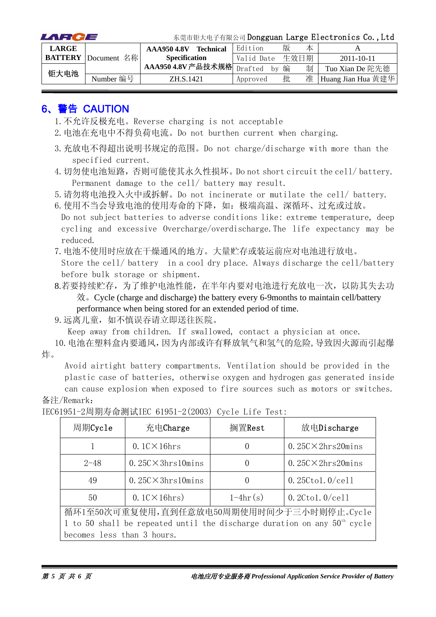| LARCE        |                            |                           |                  |            |      |   | 东莞市钜大电子有限公司 Dongguan Large Electronics Co., Ltd |
|--------------|----------------------------|---------------------------|------------------|------------|------|---|-------------------------------------------------|
| <b>LARGE</b> |                            | AAA950 4.8V               | <b>Technical</b> | Edition    | 版    | 本 |                                                 |
|              | <b>BATTERY</b> Document 名称 | <b>Specification</b>      |                  | Valid Date | 生效日期 |   | $2011 - 10 - 11$                                |
| 钜大电池         |                            | AAA950 4.8V产品技术规格 Drafted |                  | by         | 编    | 制 | Tuo Xian De 陀先德                                 |
|              | Number 编号                  | ZH.S.1421                 |                  | Approved   | 批    | 准 | Huang Jian Hua 黄建华                              |

#### 6、警告 CAUTION

- 1.不允许反极充电。Reverse charging is not acceptable
- 2.电池在充电中不得负荷电流。Do not burthen current when charging.
- 3.充放电不得超出说明书规定的范围。Do not charge/discharge with more than the specified current.
- 4.切勿使电池短路,否则可能使其永久性损坏。Do not short circuit the cell/ battery. Permanent damage to the cell/ battery may result.

5.请勿将电池投入火中或拆解。Do not incinerate or mutilate the cell/ battery.

6. 使用不当会导致电池的使用寿命的下降,如:极端高温、深循环、过充或过放。 Do not subject batteries to adverse conditions like: extreme temperature, deep cycling and excessive Overcharge/overdischarge.The life expectancy may be reduced.

7.电池不使用时应放在干燥通风的地方。大量贮存或装运前应对电池进行放电。

Store the cell/ battery in a cool dry place. Always discharge the cell/battery before bulk storage or shipment.

8.若要持续贮存,为了维护电池性能,在半年内要对电池进行充放电一次,以防其失去功 效。Cycle (charge and discharge) the battery every 6-9months to maintain cell/battery performance when being stored for an extended period of time.

9.远离儿童,如不慎误吞请立即送往医院。

Keep away from children. If swallowed, contact a physician at once.

10.电池在塑料盒内要通风,因为内部或许有释放氧气和氢气的危险,导致因火源而引起爆 炸。

Avoid airtight battery compartments. Ventilation should be provided in the plastic case of batteries, otherwise oxygen and hydrogen gas generated inside

can cause explosion when exposed to fire sources such as motors or switches. 备注/Remark:

| 周期Cycle                                                                    | 充电Charge                                  | 搁置Rest                | 放电Discharge                |  |  |  |
|----------------------------------------------------------------------------|-------------------------------------------|-----------------------|----------------------------|--|--|--|
|                                                                            | $0.1$ C $\times$ 16hrs                    | $\left( \right)$      | $0.25C \times 2hrs20 mins$ |  |  |  |
| $2 - 48$                                                                   | $0.25C \times 3hrs10 mins$                | $\left( \right)$      | $0.25C \times 2hrs20 mins$ |  |  |  |
| 49                                                                         | $0.25C \times 3hrs10 mins$                | $\left( \right)$      | $0.25C$ tol. $0$ /cell     |  |  |  |
| 50                                                                         | $0.1$ C $\times$ 16hrs)                   | $0.2C$ tol. $0$ /cell |                            |  |  |  |
|                                                                            | 循环1至50次可重复使用,直到任意放电50周期使用时间少于三小时则停止。Cycle |                       |                            |  |  |  |
| 1 to 50 shall be repeated until the discharge duration on any $50th$ cycle |                                           |                       |                            |  |  |  |
| becomes less than 3 hours.                                                 |                                           |                       |                            |  |  |  |

IEC61951-2周期寿命测试IEC 61951-2(2003) Cycle Life Test: